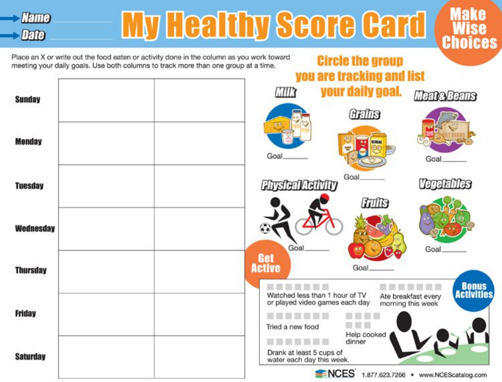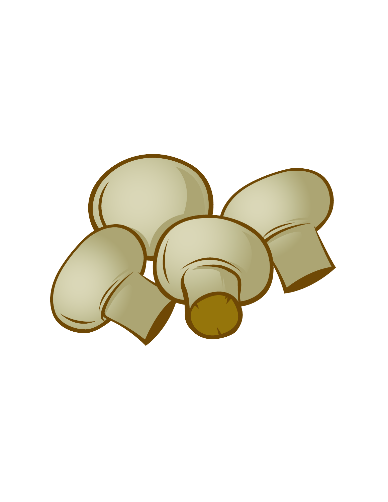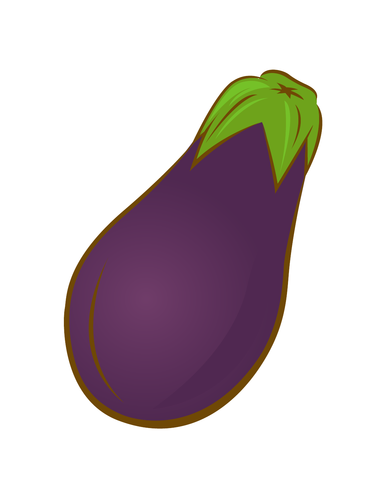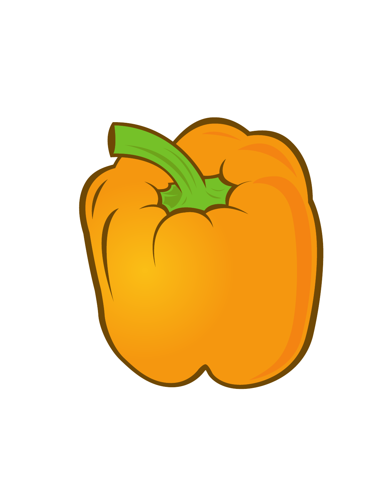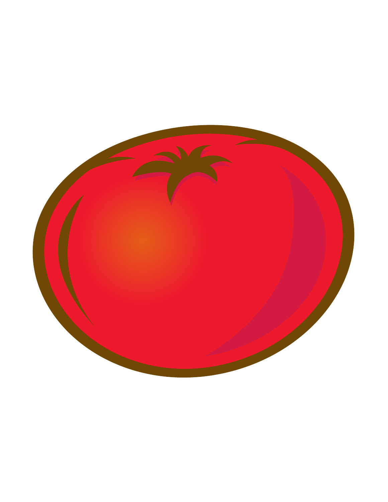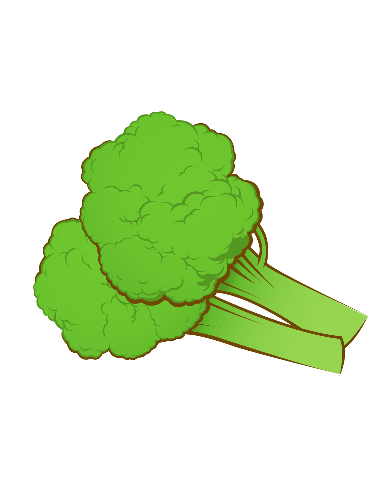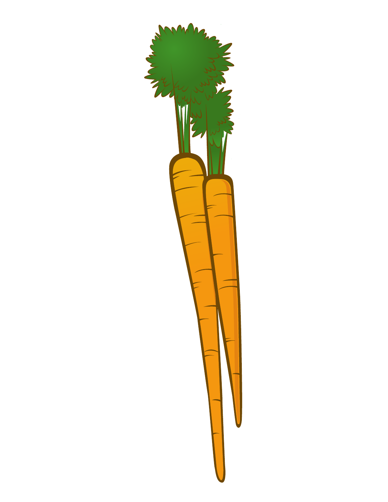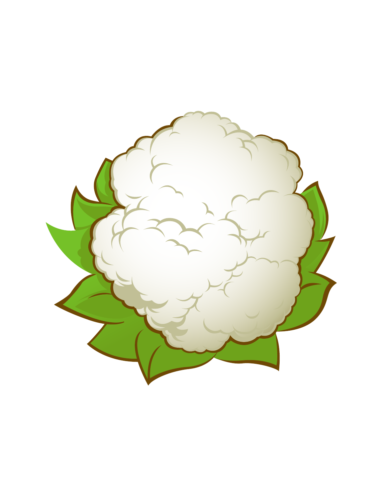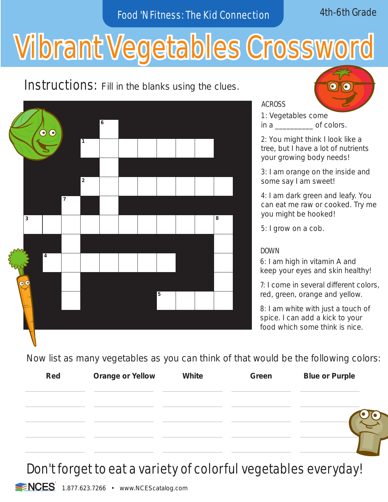### Food 'N Fitness: The Kid Connection

### 4th-6th Grade

# Vibrant Vegetables Grosswo

**Instructions:** Fill in the blanks using the clues.



#### **ACROSS**

1: Vegetables come in a \_\_\_\_\_\_\_\_\_\_ of colors.

2: You might think I look like a tree, but I have a lot of nutrients your growing body needs!

3: I am orange on the inside and some say I am sweet!

4: I am dark green and leafy. You can eat me raw or cooked. Try me you might be hooked!

5: I grow on a cob.

#### DOWN

6: I am high in vitamin A and keep your eyes and skin healthy!

7: I come in several different colors, red, green, orange and yellow.

8: I am white with just a touch of spice. I can add a kick to your food which some think is nice.

Now list as many vegetables as you can think of that would be the following colors:

| Red | <b>Orange or Yellow</b> | White | Green | <b>Blue or Purple</b> |
|-----|-------------------------|-------|-------|-----------------------|
|     |                         |       |       |                       |
|     |                         |       |       |                       |
|     |                         |       |       |                       |

# Don't forget to eat a variety of colorful vegetables everyday!

1.877.623.7266 • www.NCEScatalog.com ®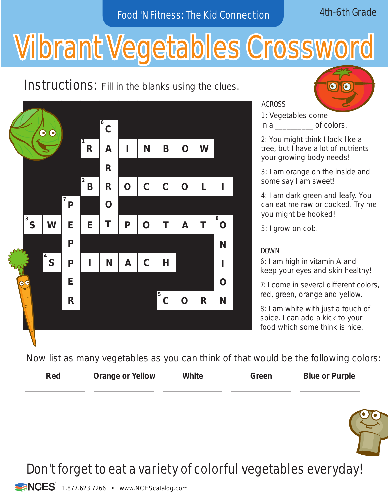### Food 'N Fitness: The Kid Connection

### 4th-6th Grade

 $\bullet$ 

# Vibrant Vegetables Crosswo

**Instructions:** Fill in the blanks using the clues.



#### **ACROSS**

1: Vegetables come in a \_\_\_\_\_\_\_\_\_\_ of colors.

2: You might think I look like a tree, but I have a lot of nutrients your growing body needs!

3: I am orange on the inside and some say I am sweet!

4: I am dark green and leafy. You can eat me raw or cooked. Try me you might be hooked!

5: I grow on cob.

#### DOWN

6: I am high in vitamin A and keep your eyes and skin healthy!

7: I come in several different colors, red, green, orange and yellow.

8: I am white with just a touch of spice. I can add a kick to your food which some think is nice.

Now list as many vegetables as you can think of that would be the following colors:

| Red | <b>Orange or Yellow</b> | White | Green | <b>Blue or Purple</b> |
|-----|-------------------------|-------|-------|-----------------------|
|     |                         |       |       |                       |
|     |                         |       |       |                       |
|     |                         |       |       |                       |

# Don't forget to eat a variety of colorful vegetables everyday!